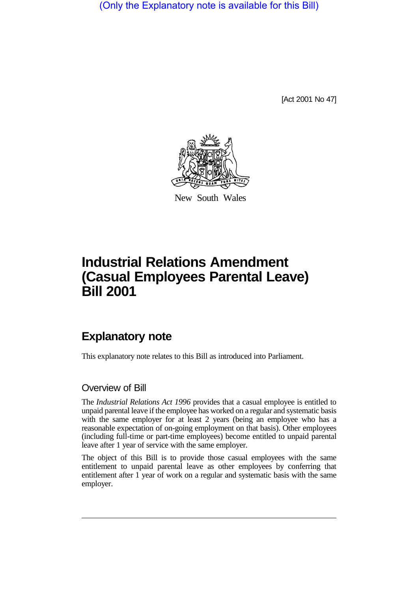(Only the Explanatory note is available for this Bill)

[Act 2001 No 47]



New South Wales

# **Industrial Relations Amendment (Casual Employees Parental Leave) Bill 2001**

# **Explanatory note**

This explanatory note relates to this Bill as introduced into Parliament.

#### Overview of Bill

The *Industrial Relations Act 1996* provides that a casual employee is entitled to unpaid parental leave if the employee has worked on a regular and systematic basis with the same employer for at least 2 years (being an employee who has a reasonable expectation of on-going employment on that basis). Other employees (including full-time or part-time employees) become entitled to unpaid parental leave after 1 year of service with the same employer.

The object of this Bill is to provide those casual employees with the same entitlement to unpaid parental leave as other employees by conferring that entitlement after 1 year of work on a regular and systematic basis with the same employer.